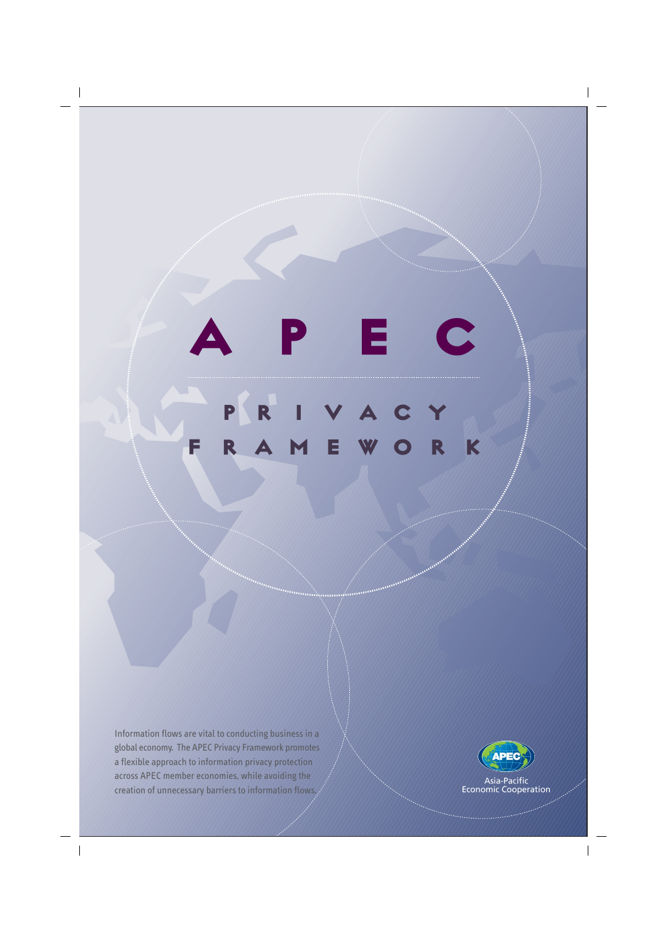



 $\overline{\phantom{a}}$ 

Asia-Pacific<br>Economic Cooperation

 $\begin{array}{c} \hline \end{array}$ 

PRIVACY FRAMEWORK APEC

 $\overline{\phantom{a}}$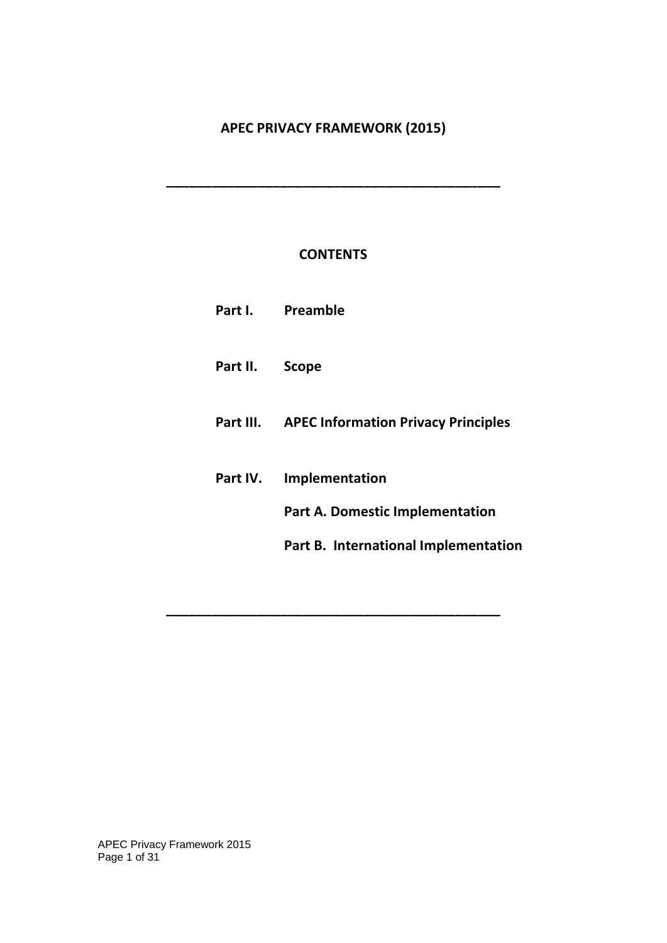# **APEC PRIVACY FRAMEWORK (2015)**

**\_\_\_\_\_\_\_\_\_\_\_\_\_\_\_\_\_\_\_\_\_\_\_\_\_\_\_\_\_\_\_\_\_\_\_\_\_\_\_\_\_\_\_\_** 

# **CONTENTS**

|          | Part I. Preamble                                     |
|----------|------------------------------------------------------|
| Part II. | <b>Scope</b>                                         |
|          | <b>Part III.</b> APEC Information Privacy Principles |
| Part IV. | Implementation                                       |
|          | <b>Part A. Domestic Implementation</b>               |
|          | Part B. International Implementation                 |
|          |                                                      |

**\_\_\_\_\_\_\_\_\_\_\_\_\_\_\_\_\_\_\_\_\_\_\_\_\_\_\_\_\_\_\_\_\_\_\_\_\_\_\_\_\_\_\_\_** 

APEC Privacy Framework 2015 Page 1 of 31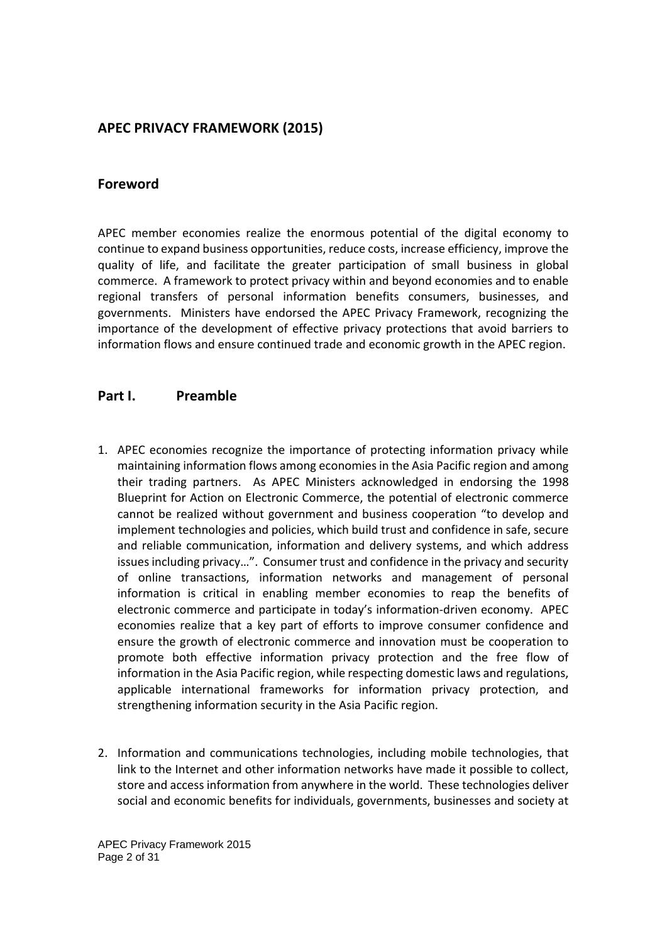## **APEC PRIVACY FRAMEWORK (2015)**

## **Foreword**

APEC member economies realize the enormous potential of the digital economy to continue to expand business opportunities, reduce costs, increase efficiency, improve the quality of life, and facilitate the greater participation of small business in global commerce. A framework to protect privacy within and beyond economies and to enable regional transfers of personal information benefits consumers, businesses, and governments. Ministers have endorsed the APEC Privacy Framework, recognizing the importance of the development of effective privacy protections that avoid barriers to information flows and ensure continued trade and economic growth in the APEC region.

## **Part I. Preamble**

- 1. APEC economies recognize the importance of protecting information privacy while maintaining information flows among economies in the Asia Pacific region and among their trading partners. As APEC Ministers acknowledged in endorsing the 1998 Blueprint for Action on Electronic Commerce, the potential of electronic commerce cannot be realized without government and business cooperation "to develop and implement technologies and policies, which build trust and confidence in safe, secure and reliable communication, information and delivery systems, and which address issues including privacy…". Consumer trust and confidence in the privacy and security of online transactions, information networks and management of personal information is critical in enabling member economies to reap the benefits of electronic commerce and participate in today's information-driven economy. APEC economies realize that a key part of efforts to improve consumer confidence and ensure the growth of electronic commerce and innovation must be cooperation to promote both effective information privacy protection and the free flow of information in the Asia Pacific region, while respecting domestic laws and regulations, applicable international frameworks for information privacy protection, and strengthening information security in the Asia Pacific region.
- 2. Information and communications technologies, including mobile technologies, that link to the Internet and other information networks have made it possible to collect, store and access information from anywhere in the world. These technologies deliver social and economic benefits for individuals, governments, businesses and society at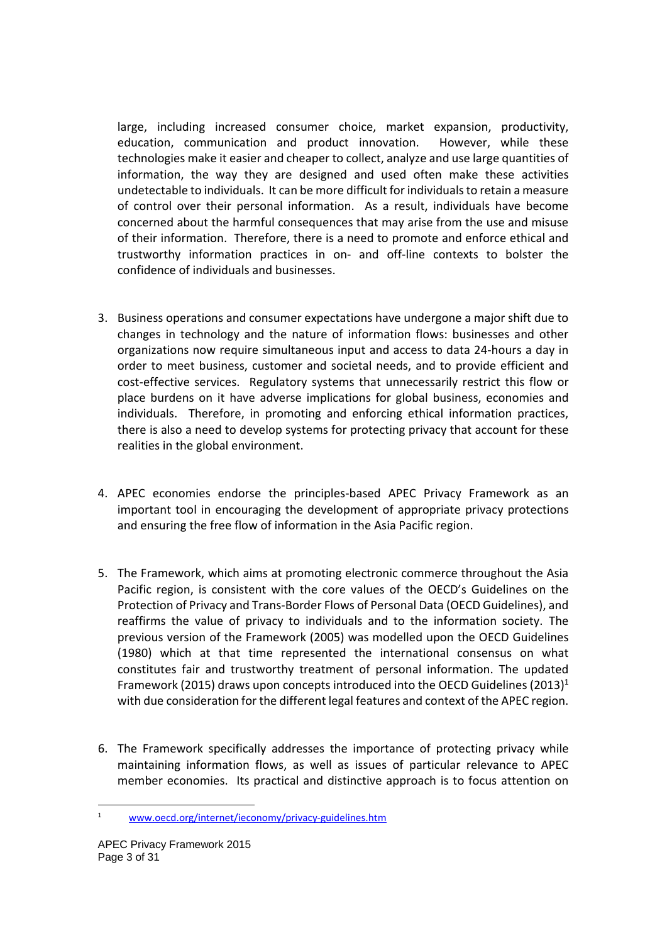large, including increased consumer choice, market expansion, productivity, education, communication and product innovation. However, while these technologies make it easier and cheaper to collect, analyze and use large quantities of information, the way they are designed and used often make these activities undetectable to individuals. It can be more difficult for individuals to retain a measure of control over their personal information. As a result, individuals have become concerned about the harmful consequences that may arise from the use and misuse of their information. Therefore, there is a need to promote and enforce ethical and trustworthy information practices in on- and off-line contexts to bolster the confidence of individuals and businesses.

- 3. Business operations and consumer expectations have undergone a major shift due to changes in technology and the nature of information flows: businesses and other organizations now require simultaneous input and access to data 24-hours a day in order to meet business, customer and societal needs, and to provide efficient and cost-effective services. Regulatory systems that unnecessarily restrict this flow or place burdens on it have adverse implications for global business, economies and individuals. Therefore, in promoting and enforcing ethical information practices, there is also a need to develop systems for protecting privacy that account for these realities in the global environment.
- 4. APEC economies endorse the principles-based APEC Privacy Framework as an important tool in encouraging the development of appropriate privacy protections and ensuring the free flow of information in the Asia Pacific region.
- 5. The Framework, which aims at promoting electronic commerce throughout the Asia Pacific region, is consistent with the core values of the OECD's Guidelines on the Protection of Privacy and Trans-Border Flows of Personal Data (OECD Guidelines), and reaffirms the value of privacy to individuals and to the information society. The previous version of the Framework (2005) was modelled upon the OECD Guidelines (1980) which at that time represented the international consensus on what constitutes fair and trustworthy treatment of personal information. The updated Framework (2015) draws upon concepts introduced into the OECD Guidelines (2013)<sup>1</sup> with due consideration for the different legal features and context of the APEC region.
- 6. The Framework specifically addresses the importance of protecting privacy while maintaining information flows, as well as issues of particular relevance to APEC member economies. Its practical and distinctive approach is to focus attention on

<sup>1</sup> www.oecd.org/internet/ieconomy/privacy-guidelines.htm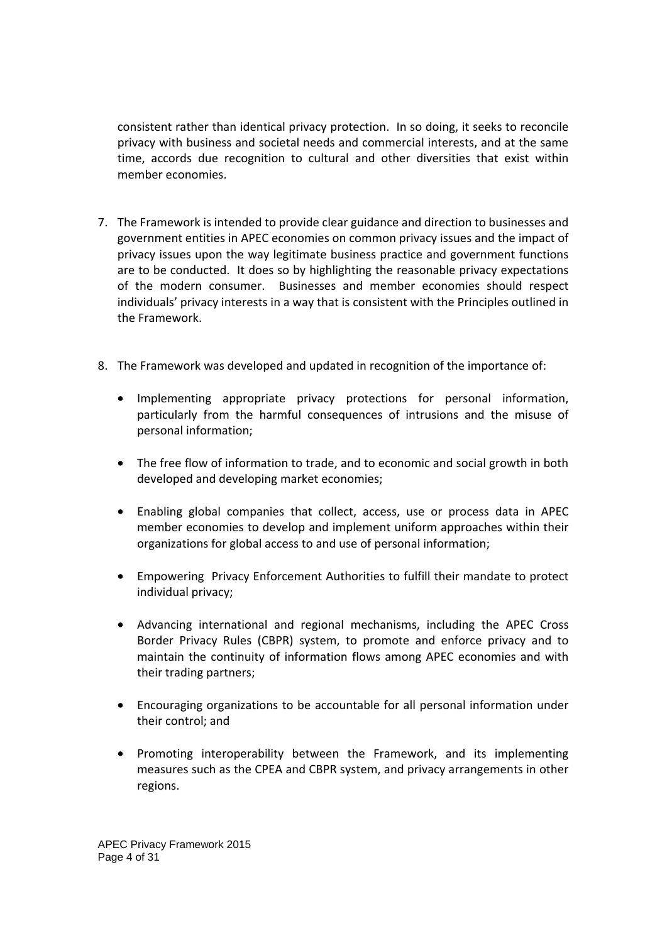consistent rather than identical privacy protection. In so doing, it seeks to reconcile privacy with business and societal needs and commercial interests, and at the same time, accords due recognition to cultural and other diversities that exist within member economies.

- 7. The Framework is intended to provide clear guidance and direction to businesses and government entities in APEC economies on common privacy issues and the impact of privacy issues upon the way legitimate business practice and government functions are to be conducted. It does so by highlighting the reasonable privacy expectations of the modern consumer. Businesses and member economies should respect individuals' privacy interests in a way that is consistent with the Principles outlined in the Framework.
- 8. The Framework was developed and updated in recognition of the importance of:
	- Implementing appropriate privacy protections for personal information, particularly from the harmful consequences of intrusions and the misuse of personal information;
	- The free flow of information to trade, and to economic and social growth in both developed and developing market economies;
	- Enabling global companies that collect, access, use or process data in APEC member economies to develop and implement uniform approaches within their organizations for global access to and use of personal information;
	- Empowering Privacy Enforcement Authorities to fulfill their mandate to protect individual privacy;
	- Advancing international and regional mechanisms, including the APEC Cross Border Privacy Rules (CBPR) system, to promote and enforce privacy and to maintain the continuity of information flows among APEC economies and with their trading partners;
	- Encouraging organizations to be accountable for all personal information under their control; and
	- Promoting interoperability between the Framework, and its implementing measures such as the CPEA and CBPR system, and privacy arrangements in other regions.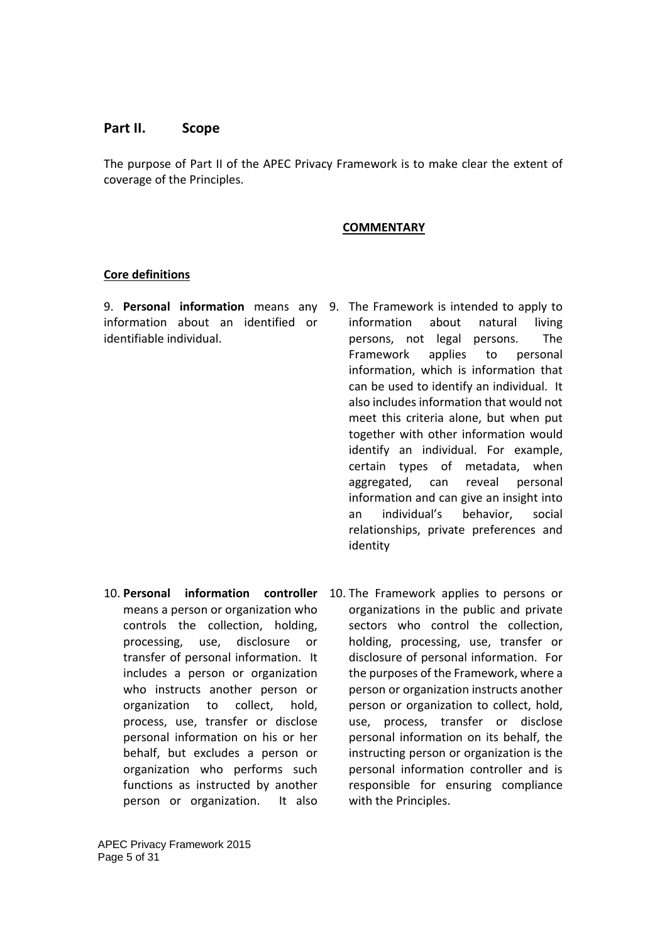## **Part II. Scope**

The purpose of Part II of the APEC Privacy Framework is to make clear the extent of coverage of the Principles.

#### **COMMENTARY**

### **Core definitions**

information about an identified or identifiable individual.

- 9. **Personal information** means any 9. The Framework is intended to apply to information about natural living persons, not legal persons. The Framework applies to personal information, which is information that can be used to identify an individual. It also includes information that would not meet this criteria alone, but when put together with other information would identify an individual. For example, certain types of metadata, when aggregated, can reveal personal information and can give an insight into an individual's behavior, social relationships, private preferences and identity
- means a person or organization who controls the collection, holding, processing, use, disclosure or transfer of personal information. It includes a person or organization who instructs another person or organization to collect, hold, process, use, transfer or disclose personal information on his or her behalf, but excludes a person or organization who performs such functions as instructed by another person or organization. It also
- 10. Personal information controller 10. The Framework applies to persons or organizations in the public and private sectors who control the collection, holding, processing, use, transfer or disclosure of personal information. For the purposes of the Framework, where a person or organization instructs another person or organization to collect, hold, use, process, transfer or disclose personal information on its behalf, the instructing person or organization is the personal information controller and is responsible for ensuring compliance with the Principles.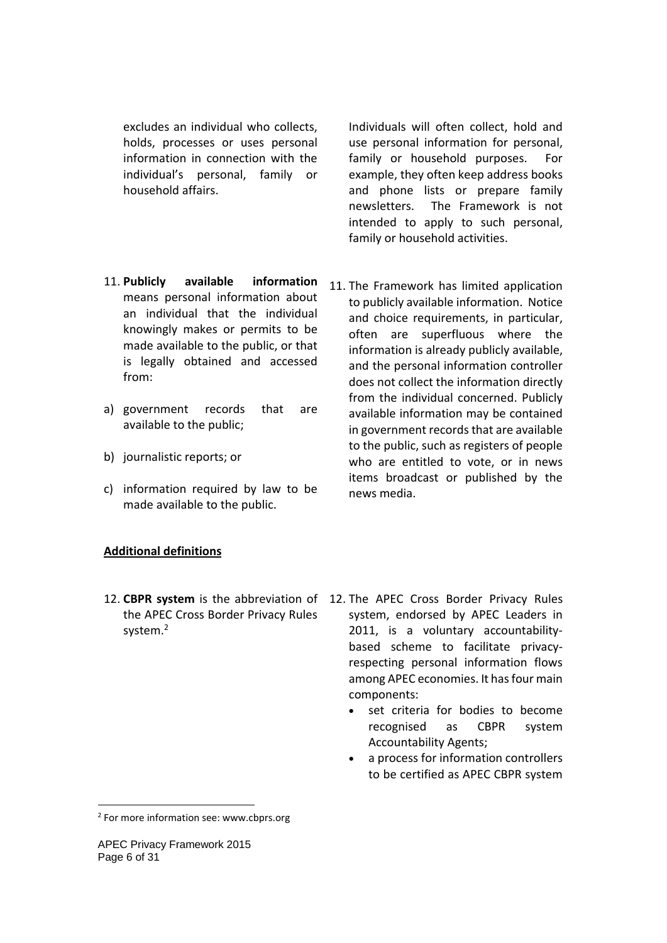excludes an individual who collects, holds, processes or uses personal information in connection with the individual's personal, family or household affairs.

- 11. **Publicly available information** means personal information about an individual that the individual knowingly makes or permits to be made available to the public, or that is legally obtained and accessed from:
- a) government records that are available to the public;
- b) journalistic reports; or
- c) information required by law to be made available to the public.

Individuals will often collect, hold and use personal information for personal, family or household purposes. For example, they often keep address books and phone lists or prepare family newsletters. The Framework is not intended to apply to such personal, family or household activities.

11. The Framework has limited application to publicly available information. Notice and choice requirements, in particular, often are superfluous where the information is already publicly available, and the personal information controller does not collect the information directly from the individual concerned. Publicly available information may be contained in government records that are available to the public, such as registers of people who are entitled to vote, or in news items broadcast or published by the news media.

### **Additional definitions**

- the APEC Cross Border Privacy Rules system.<sup>2</sup>
- 12. **CBPR system** is the abbreviation of 12. The APEC Cross Border Privacy Rules system, endorsed by APEC Leaders in 2011, is a voluntary accountabilitybased scheme to facilitate privacyrespecting personal information flows among APEC economies. It has four main components:
	- set criteria for bodies to become recognised as CBPR system Accountability Agents;
	- a process for information controllers to be certified as APEC CBPR system

-

<sup>&</sup>lt;sup>2</sup> For more information see: www.cbprs.org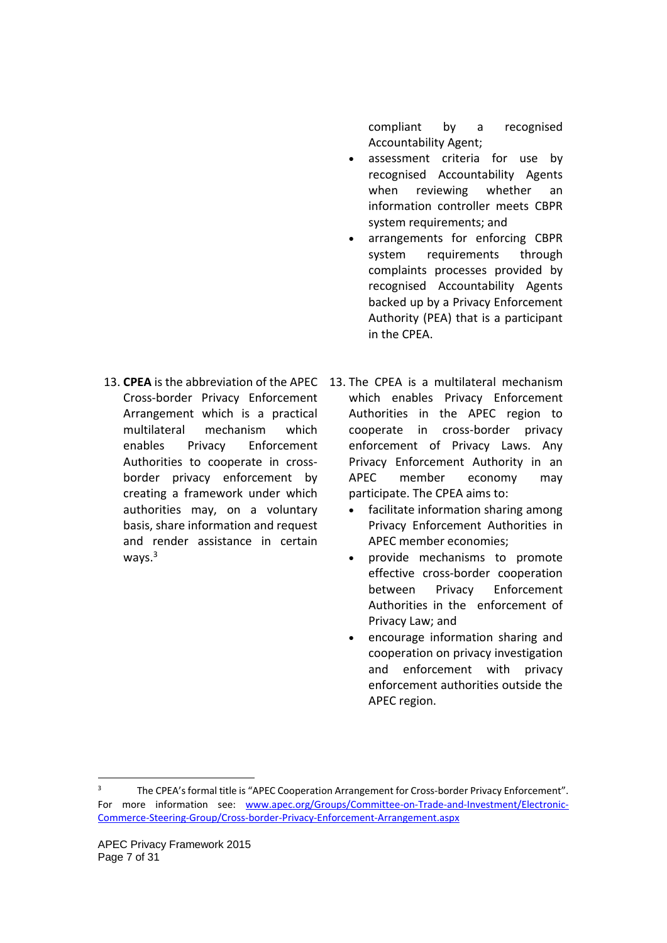compliant by a recognised Accountability Agent;

- assessment criteria for use by recognised Accountability Agents when reviewing whether an information controller meets CBPR system requirements; and
- arrangements for enforcing CBPR system requirements through complaints processes provided by recognised Accountability Agents backed up by a Privacy Enforcement Authority (PEA) that is a participant in the CPEA.
- Cross-border Privacy Enforcement Arrangement which is a practical multilateral mechanism which enables Privacy Enforcement Authorities to cooperate in crossborder privacy enforcement by creating a framework under which authorities may, on a voluntary basis, share information and request and render assistance in certain ways.3
- 13. **CPEA** is the abbreviation of the APEC 13. The CPEA is a multilateral mechanism which enables Privacy Enforcement Authorities in the APEC region to cooperate in cross-border privacy enforcement of Privacy Laws. Any Privacy Enforcement Authority in an APEC member economy may participate. The CPEA aims to:
	- facilitate information sharing among Privacy Enforcement Authorities in APEC member economies;
	- provide mechanisms to promote effective cross-border cooperation between Privacy Enforcement Authorities in the enforcement of Privacy Law; and
	- encourage information sharing and cooperation on privacy investigation and enforcement with privacy enforcement authorities outside the APEC region.

 $\overline{a}$ 

<sup>3</sup> The CPEA's formal title is "APEC Cooperation Arrangement for Cross-border Privacy Enforcement". For more information see: www.apec.org/Groups/Committee-on-Trade-and-Investment/Electronic-Commerce-Steering-Group/Cross-border-Privacy-Enforcement-Arrangement.aspx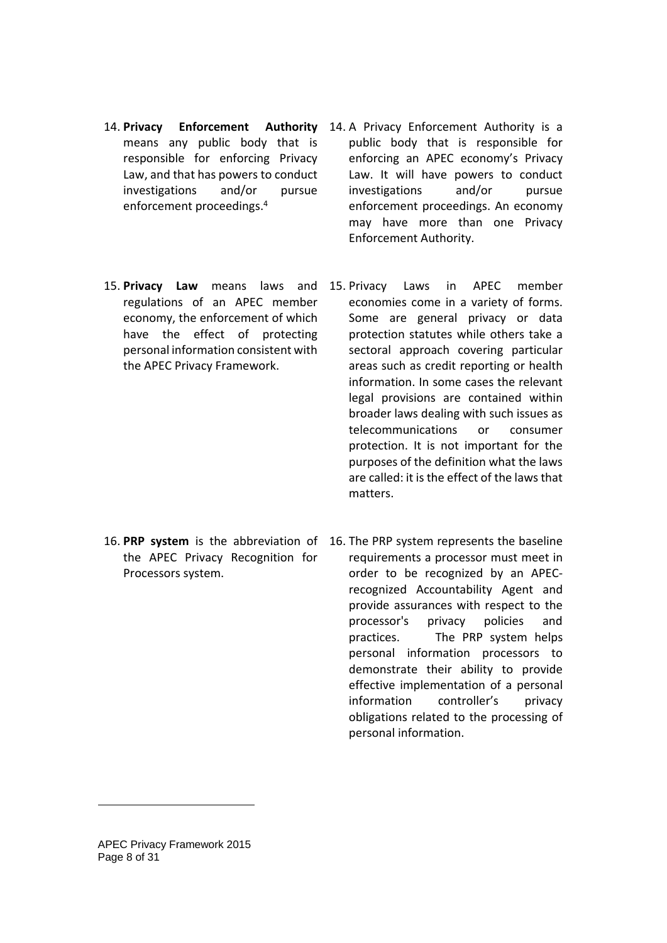- 14. **Privacy Enforcement** means any public body that is responsible for enforcing Privacy Law, and that has powers to conduct investigations and/or pursue enforcement proceedings.4
- Authority 14. A Privacy Enforcement Authority is a public body that is responsible for enforcing an APEC economy's Privacy Law. It will have powers to conduct investigations and/or pursue enforcement proceedings. An economy may have more than one Privacy Enforcement Authority.
- regulations of an APEC member economy, the enforcement of which have the effect of protecting personal information consistent with the APEC Privacy Framework.
- 15. **Privacy Law** means laws and 15. Privacy Laws in APEC member economies come in a variety of forms. Some are general privacy or data protection statutes while others take a sectoral approach covering particular areas such as credit reporting or health information. In some cases the relevant legal provisions are contained within broader laws dealing with such issues as telecommunications or consumer protection. It is not important for the purposes of the definition what the laws are called: it is the effect of the laws that matters.
- the APEC Privacy Recognition for Processors system.
- 16. **PRP system** is the abbreviation of 16. The PRP system represents the baseline requirements a processor must meet in order to be recognized by an APECrecognized Accountability Agent and provide assurances with respect to the processor's privacy policies and practices. The PRP system helps personal information processors to demonstrate their ability to provide effective implementation of a personal information controller's privacy obligations related to the processing of personal information.

-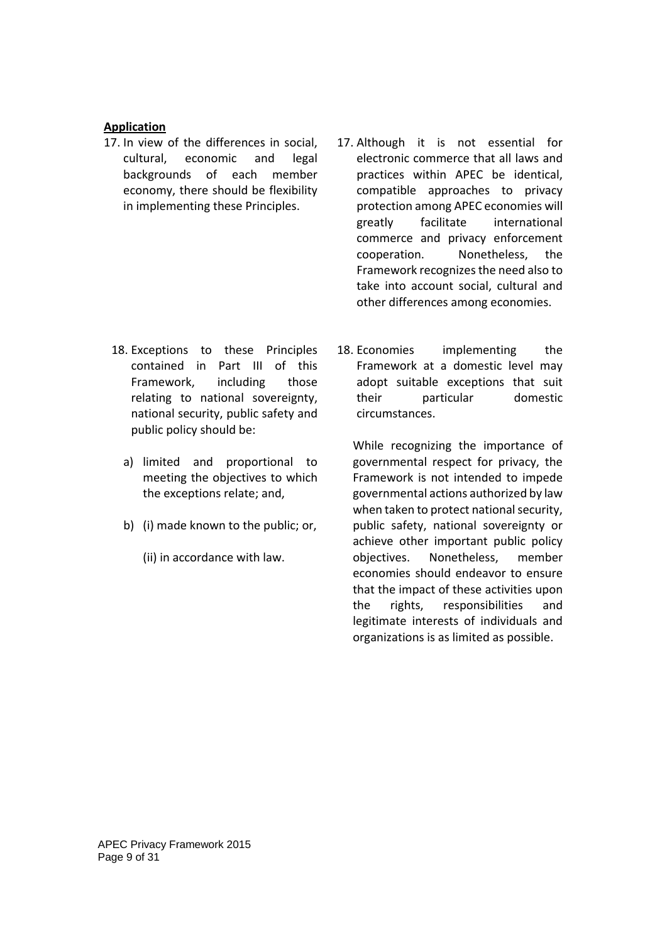## **Application**

- 17. In view of the differences in social, cultural, economic and legal backgrounds of each member economy, there should be flexibility in implementing these Principles.
- 17. Although it is not essential for electronic commerce that all laws and practices within APEC be identical, compatible approaches to privacy protection among APEC economies will greatly facilitate international commerce and privacy enforcement cooperation. Nonetheless, the Framework recognizes the need also to take into account social, cultural and other differences among economies.
- 18. Exceptions to these Principles contained in Part III of this Framework, including those relating to national sovereignty, national security, public safety and public policy should be:
	- a) limited and proportional to meeting the objectives to which the exceptions relate; and,
	- b) (i) made known to the public; or,
		- (ii) in accordance with law.

18. Economies implementing the Framework at a domestic level may adopt suitable exceptions that suit their particular domestic circumstances.

While recognizing the importance of governmental respect for privacy, the Framework is not intended to impede governmental actions authorized by law when taken to protect national security, public safety, national sovereignty or achieve other important public policy objectives. Nonetheless, member economies should endeavor to ensure that the impact of these activities upon the rights, responsibilities and legitimate interests of individuals and organizations is as limited as possible.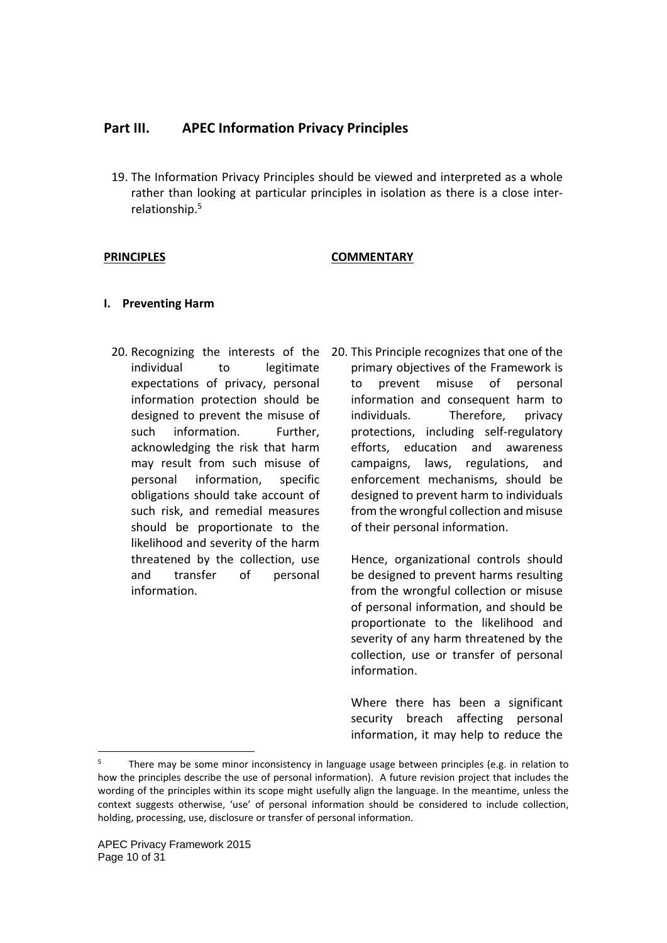## **Part III. APEC Information Privacy Principles**

19. The Information Privacy Principles should be viewed and interpreted as a whole rather than looking at particular principles in isolation as there is a close interrelationship.5

## PRINCIPLES **COMMENTARY**

### **I. Preventing Harm**

- individual to legitimate expectations of privacy, personal information protection should be designed to prevent the misuse of such information. Further, acknowledging the risk that harm may result from such misuse of personal information, specific obligations should take account of such risk, and remedial measures should be proportionate to the likelihood and severity of the harm threatened by the collection, use and transfer of personal information.
- 20. Recognizing the interests of the 20. This Principle recognizes that one of the primary objectives of the Framework is to prevent misuse of personal information and consequent harm to individuals. Therefore, privacy protections, including self-regulatory efforts, education and awareness campaigns, laws, regulations, and enforcement mechanisms, should be designed to prevent harm to individuals from the wrongful collection and misuse of their personal information.

Hence, organizational controls should be designed to prevent harms resulting from the wrongful collection or misuse of personal information, and should be proportionate to the likelihood and severity of any harm threatened by the collection, use or transfer of personal information.

Where there has been a significant security breach affecting personal information, it may help to reduce the

-

<sup>5</sup> There may be some minor inconsistency in language usage between principles (e.g. in relation to how the principles describe the use of personal information). A future revision project that includes the wording of the principles within its scope might usefully align the language. In the meantime, unless the context suggests otherwise, 'use' of personal information should be considered to include collection, holding, processing, use, disclosure or transfer of personal information.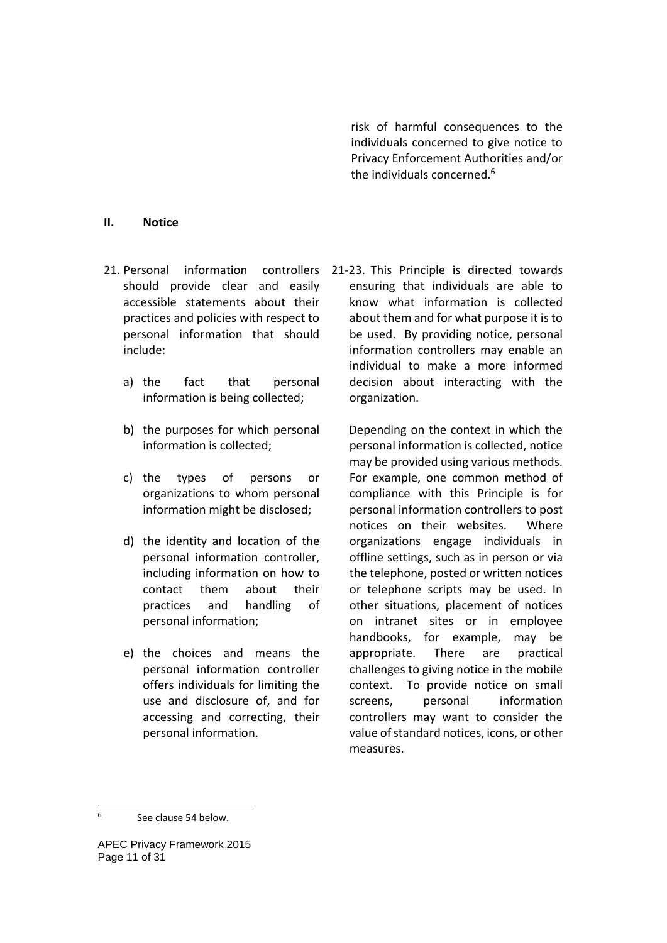risk of harmful consequences to the individuals concerned to give notice to Privacy Enforcement Authorities and/or the individuals concerned.<sup>6</sup>

#### **II. Notice**

- should provide clear and easily accessible statements about their practices and policies with respect to personal information that should include:
	- a) the fact that personal information is being collected;
	- b) the purposes for which personal information is collected;
	- c) the types of persons or organizations to whom personal information might be disclosed;
	- d) the identity and location of the personal information controller, including information on how to contact them about their practices and handling of personal information;
	- e) the choices and means the personal information controller offers individuals for limiting the use and disclosure of, and for accessing and correcting, their personal information.

21. Personal information controllers 21-23. This Principle is directed towards ensuring that individuals are able to know what information is collected about them and for what purpose it is to be used. By providing notice, personal information controllers may enable an individual to make a more informed decision about interacting with the organization.

> Depending on the context in which the personal information is collected, notice may be provided using various methods. For example, one common method of compliance with this Principle is for personal information controllers to post notices on their websites. Where organizations engage individuals in offline settings, such as in person or via the telephone, posted or written notices or telephone scripts may be used. In other situations, placement of notices on intranet sites or in employee handbooks, for example, may be appropriate. There are practical challenges to giving notice in the mobile context. To provide notice on small screens. personal information controllers may want to consider the value of standard notices, icons, or other measures.

<sup>6</sup> See clause 54 below.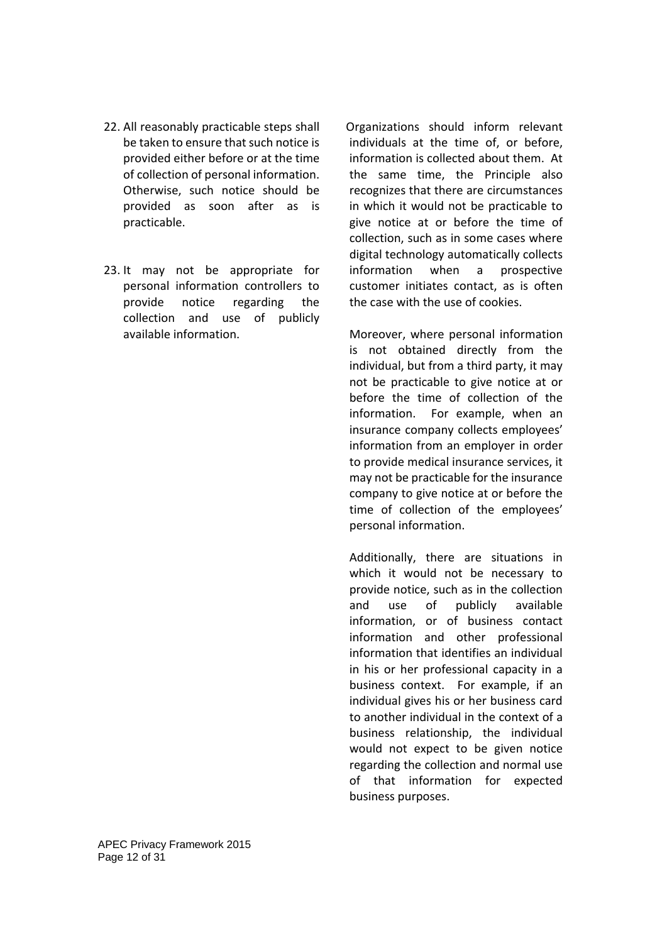- 22. All reasonably practicable steps shall be taken to ensure that such notice is provided either before or at the time of collection of personal information. Otherwise, such notice should be provided as soon after as is practicable.
- 23. It may not be appropriate for personal information controllers to provide notice regarding the collection and use of publicly available information.

 Organizations should inform relevant individuals at the time of, or before, information is collected about them. At the same time, the Principle also recognizes that there are circumstances in which it would not be practicable to give notice at or before the time of collection, such as in some cases where digital technology automatically collects information when a prospective customer initiates contact, as is often the case with the use of cookies.

Moreover, where personal information is not obtained directly from the individual, but from a third party, it may not be practicable to give notice at or before the time of collection of the information. For example, when an insurance company collects employees' information from an employer in order to provide medical insurance services, it may not be practicable for the insurance company to give notice at or before the time of collection of the employees' personal information.

Additionally, there are situations in which it would not be necessary to provide notice, such as in the collection and use of publicly available information, or of business contact information and other professional information that identifies an individual in his or her professional capacity in a business context. For example, if an individual gives his or her business card to another individual in the context of a business relationship, the individual would not expect to be given notice regarding the collection and normal use of that information for expected business purposes.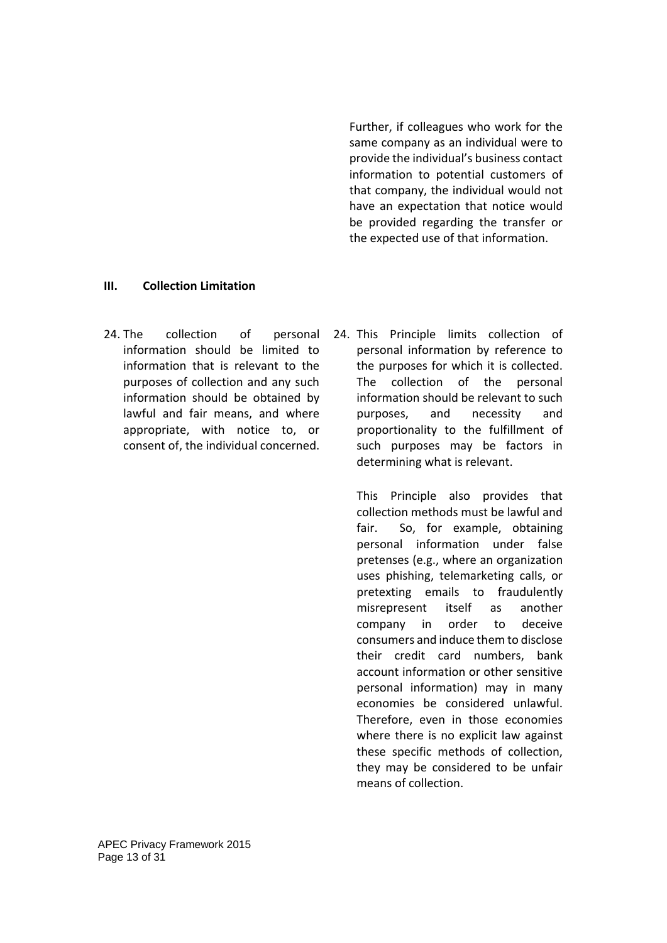Further, if colleagues who work for the same company as an individual were to provide the individual's business contact information to potential customers of that company, the individual would not have an expectation that notice would be provided regarding the transfer or the expected use of that information.

### **III. Collection Limitation**

- 24. The collection of personal information should be limited to information that is relevant to the purposes of collection and any such information should be obtained by lawful and fair means, and where appropriate, with notice to, or consent of, the individual concerned.
- 24. This Principle limits collection of personal information by reference to the purposes for which it is collected. The collection of the personal information should be relevant to such purposes, and necessity and proportionality to the fulfillment of such purposes may be factors in determining what is relevant.

This Principle also provides that collection methods must be lawful and fair. So, for example, obtaining personal information under false pretenses (e.g., where an organization uses phishing, telemarketing calls, or pretexting emails to fraudulently misrepresent itself as another company in order to deceive consumers and induce them to disclose their credit card numbers, bank account information or other sensitive personal information) may in many economies be considered unlawful. Therefore, even in those economies where there is no explicit law against these specific methods of collection, they may be considered to be unfair means of collection.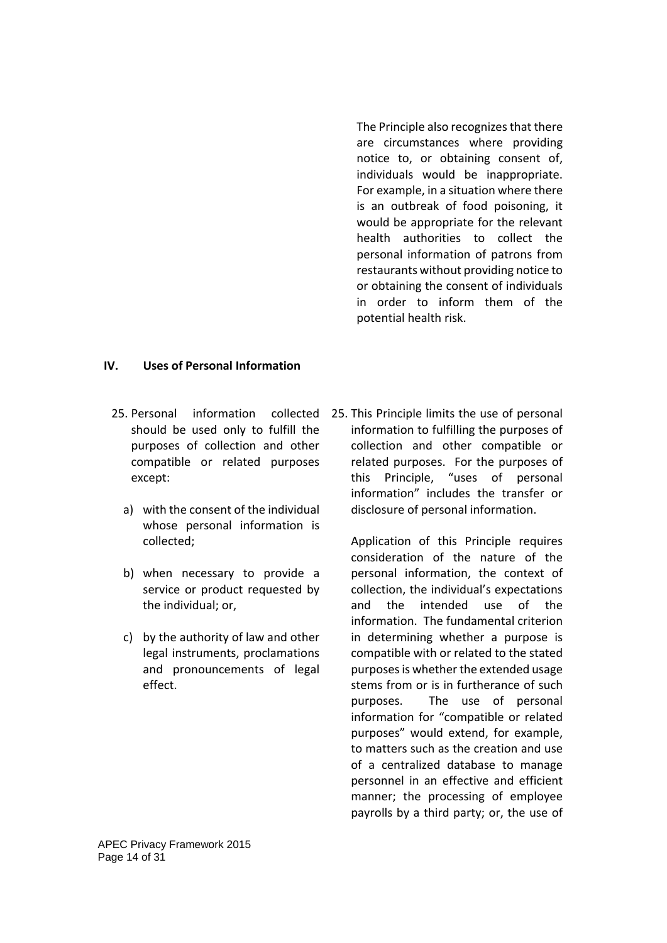The Principle also recognizes that there are circumstances where providing notice to, or obtaining consent of, individuals would be inappropriate. For example, in a situation where there is an outbreak of food poisoning, it would be appropriate for the relevant health authorities to collect the personal information of patrons from restaurants without providing notice to or obtaining the consent of individuals in order to inform them of the potential health risk.

## **IV. Uses of Personal Information**

- should be used only to fulfill the purposes of collection and other compatible or related purposes except:
	- a) with the consent of the individual whose personal information is collected;
	- b) when necessary to provide a service or product requested by the individual; or,
	- c) by the authority of law and other legal instruments, proclamations and pronouncements of legal effect.

25. Personal information collected 25. This Principle limits the use of personal information to fulfilling the purposes of collection and other compatible or related purposes. For the purposes of this Principle, "uses of personal information" includes the transfer or disclosure of personal information.

> Application of this Principle requires consideration of the nature of the personal information, the context of collection, the individual's expectations and the intended use of the information. The fundamental criterion in determining whether a purpose is compatible with or related to the stated purposes is whether the extended usage stems from or is in furtherance of such purposes. The use of personal information for "compatible or related purposes" would extend, for example, to matters such as the creation and use of a centralized database to manage personnel in an effective and efficient manner; the processing of employee payrolls by a third party; or, the use of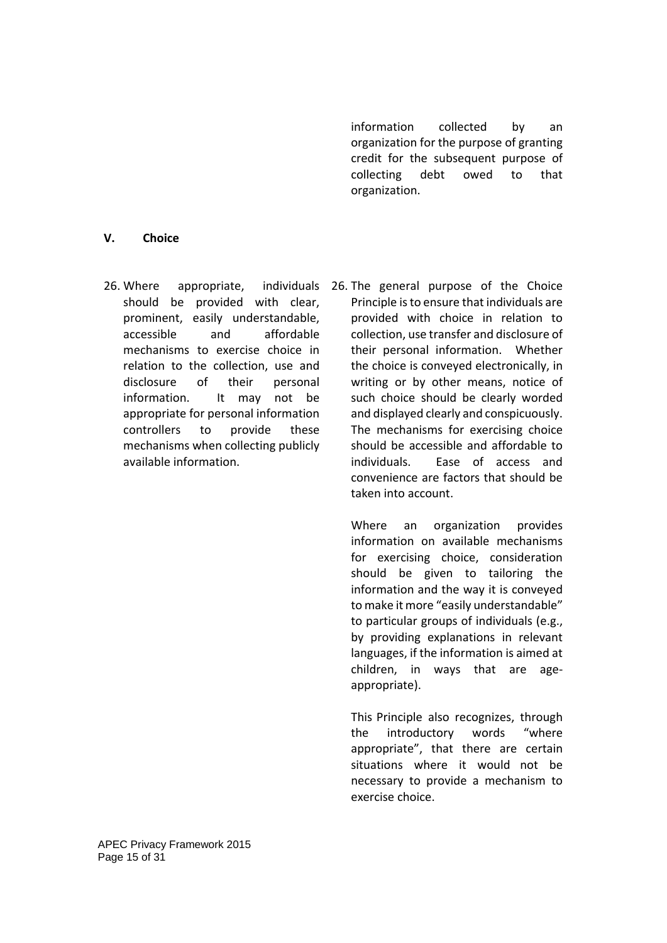information collected by an organization for the purpose of granting credit for the subsequent purpose of collecting debt owed to that organization.

### **V. Choice**

26. Where appropriate, should be provided with clear, prominent, easily understandable, accessible and affordable mechanisms to exercise choice in relation to the collection, use and disclosure of their personal information. It may not be appropriate for personal information controllers to provide these mechanisms when collecting publicly available information.

26. The general purpose of the Choice Principle is to ensure that individuals are provided with choice in relation to collection, use transfer and disclosure of their personal information. Whether the choice is conveyed electronically, in writing or by other means, notice of such choice should be clearly worded and displayed clearly and conspicuously. The mechanisms for exercising choice should be accessible and affordable to individuals. Ease of access and convenience are factors that should be taken into account.

> Where an organization provides information on available mechanisms for exercising choice, consideration should be given to tailoring the information and the way it is conveyed to make it more "easily understandable" to particular groups of individuals (e.g., by providing explanations in relevant languages, if the information is aimed at children, in ways that are ageappropriate).

> This Principle also recognizes, through the introductory words "where appropriate", that there are certain situations where it would not be necessary to provide a mechanism to exercise choice.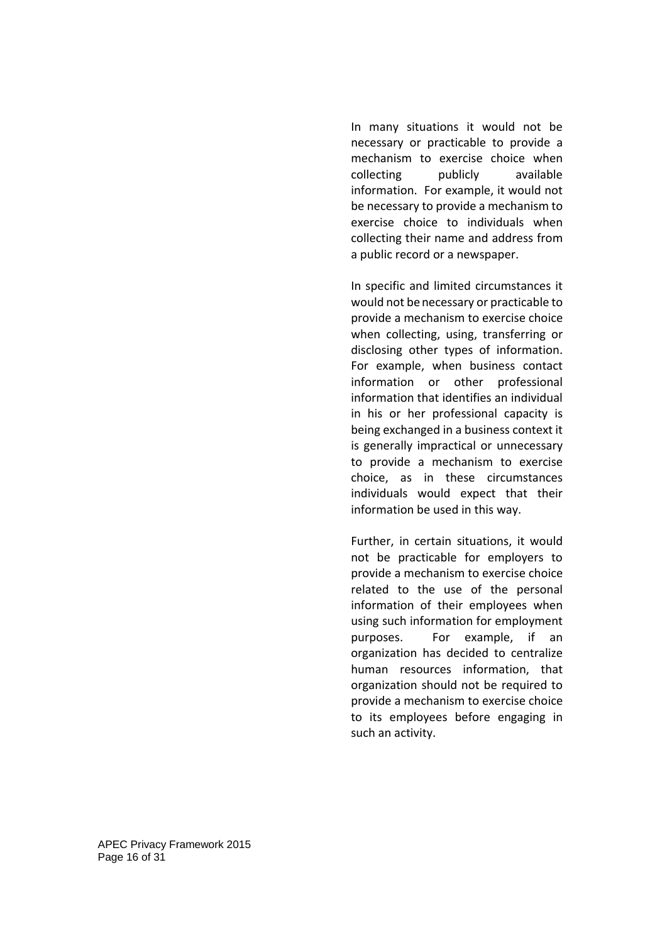In many situations it would not be necessary or practicable to provide a mechanism to exercise choice when collecting publicly available information. For example, it would not be necessary to provide a mechanism to exercise choice to individuals when collecting their name and address from a public record or a newspaper.

In specific and limited circumstances it would not benecessary or practicable to provide a mechanism to exercise choice when collecting, using, transferring or disclosing other types of information. For example, when business contact information or other professional information that identifies an individual in his or her professional capacity is being exchanged in a business context it is generally impractical or unnecessary to provide a mechanism to exercise choice, as in these circumstances individuals would expect that their information be used in this way.

Further, in certain situations, it would not be practicable for employers to provide a mechanism to exercise choice related to the use of the personal information of their employees when using such information for employment purposes. For example, if an organization has decided to centralize human resources information, that organization should not be required to provide a mechanism to exercise choice to its employees before engaging in such an activity.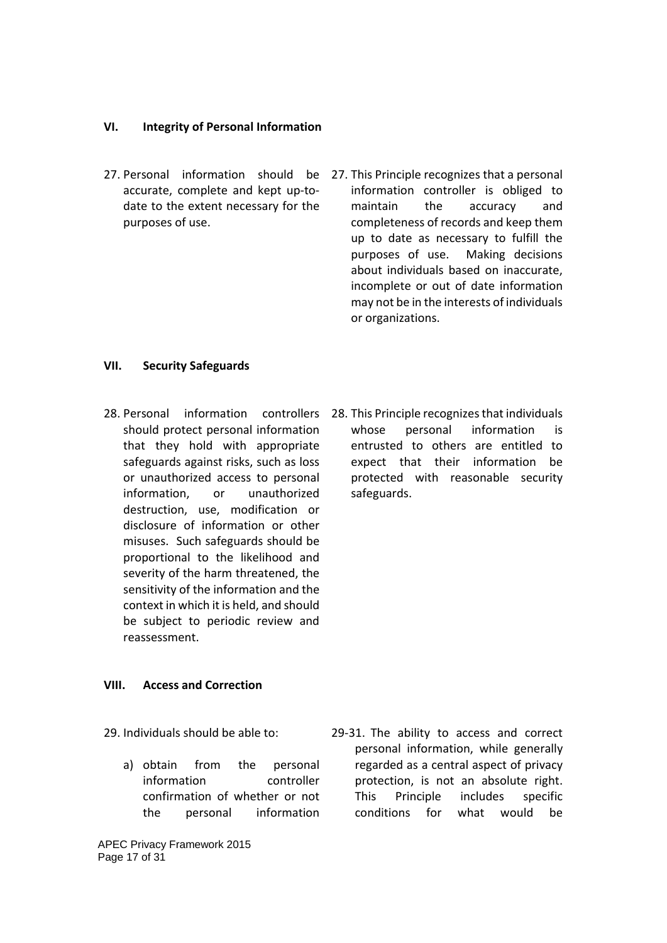### **VI. Integrity of Personal Information**

- accurate, complete and kept up-todate to the extent necessary for the purposes of use.
- 27. Personal information should be 27. This Principle recognizes that a personal information controller is obliged to maintain the accuracy and completeness of records and keep them up to date as necessary to fulfill the purposes of use. Making decisions about individuals based on inaccurate, incomplete or out of date information may not be in the interests of individuals or organizations.

#### **VII. Security Safeguards**

- 28. Personal information controllers should protect personal information that they hold with appropriate safeguards against risks, such as loss or unauthorized access to personal information, or unauthorized destruction, use, modification or disclosure of information or other misuses. Such safeguards should be proportional to the likelihood and severity of the harm threatened, the sensitivity of the information and the context in which it is held, and should be subject to periodic review and reassessment.
- 28. This Principle recognizes that individuals whose personal information is entrusted to others are entitled to expect that their information be protected with reasonable security safeguards.

#### **VIII. Access and Correction**

29. Individuals should be able to:

a) obtain from the personal information controller confirmation of whether or not the personal information

APEC Privacy Framework 2015 Page 17 of 31

29-31. The ability to access and correct personal information, while generally regarded as a central aspect of privacy protection, is not an absolute right. This Principle includes specific conditions for what would be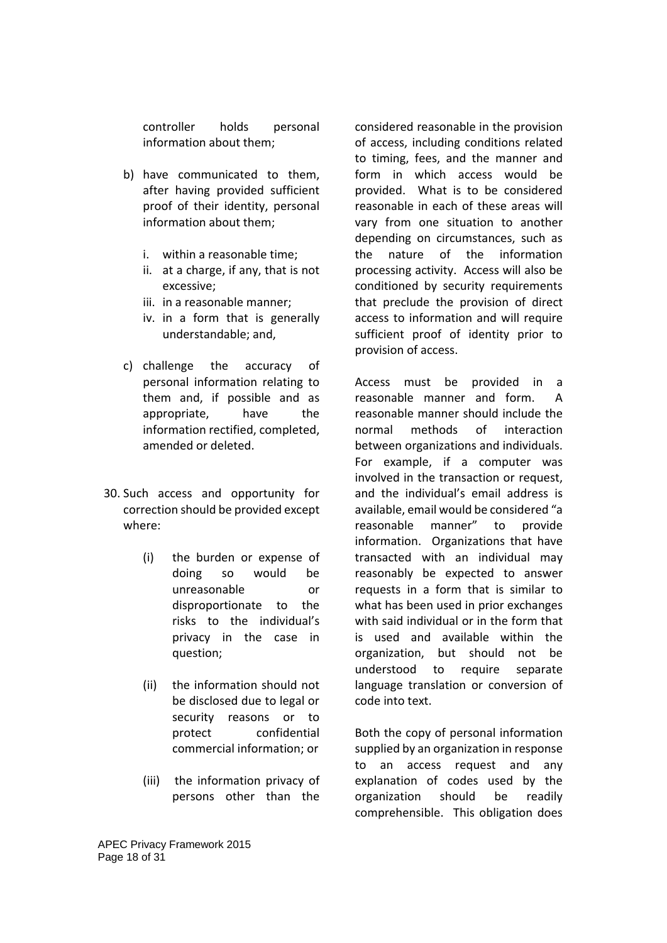controller holds personal information about them;

- b) have communicated to them, after having provided sufficient proof of their identity, personal information about them;
	- i. within a reasonable time;
	- ii. at a charge, if any, that is not excessive;
	- iii. in a reasonable manner;
	- iv. in a form that is generally understandable; and,
- c) challenge the accuracy of personal information relating to them and, if possible and as appropriate, have the information rectified, completed, amended or deleted.
- 30. Such access and opportunity for correction should be provided except where:
	- (i) the burden or expense of doing so would be unreasonable or disproportionate to the risks to the individual's privacy in the case in question;
	- (ii) the information should not be disclosed due to legal or security reasons or to protect confidential commercial information; or
	- (iii) the information privacy of persons other than the

considered reasonable in the provision of access, including conditions related to timing, fees, and the manner and form in which access would be provided. What is to be considered reasonable in each of these areas will vary from one situation to another depending on circumstances, such as the nature of the information processing activity. Access will also be conditioned by security requirements that preclude the provision of direct access to information and will require sufficient proof of identity prior to provision of access.

Access must be provided in a reasonable manner and form. A reasonable manner should include the normal methods of interaction between organizations and individuals. For example, if a computer was involved in the transaction or request, and the individual's email address is available, email would be considered "a reasonable manner" to provide information. Organizations that have transacted with an individual may reasonably be expected to answer requests in a form that is similar to what has been used in prior exchanges with said individual or in the form that is used and available within the organization, but should not be understood to require separate language translation or conversion of code into text.

Both the copy of personal information supplied by an organization in response to an access request and any explanation of codes used by the organization should be readily comprehensible. This obligation does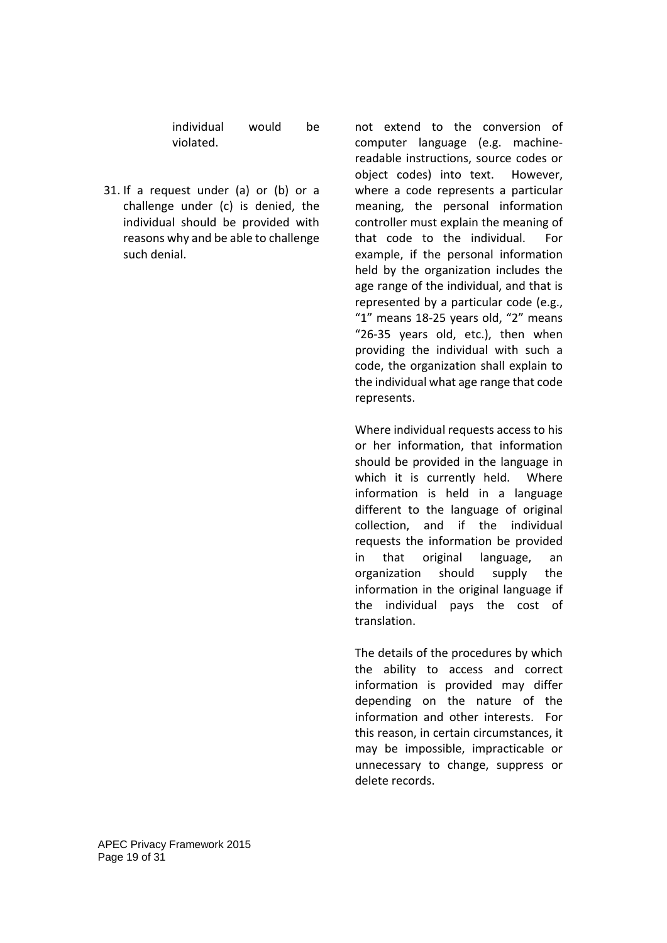individual would be violated.

31. If a request under (a) or (b) or a challenge under (c) is denied, the individual should be provided with reasons why and be able to challenge such denial.

not extend to the conversion of computer language (e.g. machinereadable instructions, source codes or object codes) into text. However, where a code represents a particular meaning, the personal information controller must explain the meaning of that code to the individual. For example, if the personal information held by the organization includes the age range of the individual, and that is represented by a particular code (e.g., "1" means 18-25 years old, "2" means "26-35 years old, etc.), then when providing the individual with such a code, the organization shall explain to the individual what age range that code represents.

Where individual requests access to his or her information, that information should be provided in the language in which it is currently held. Where information is held in a language different to the language of original collection, and if the individual requests the information be provided in that original language, an organization should supply the information in the original language if the individual pays the cost of translation.

The details of the procedures by which the ability to access and correct information is provided may differ depending on the nature of the information and other interests. For this reason, in certain circumstances, it may be impossible, impracticable or unnecessary to change, suppress or delete records.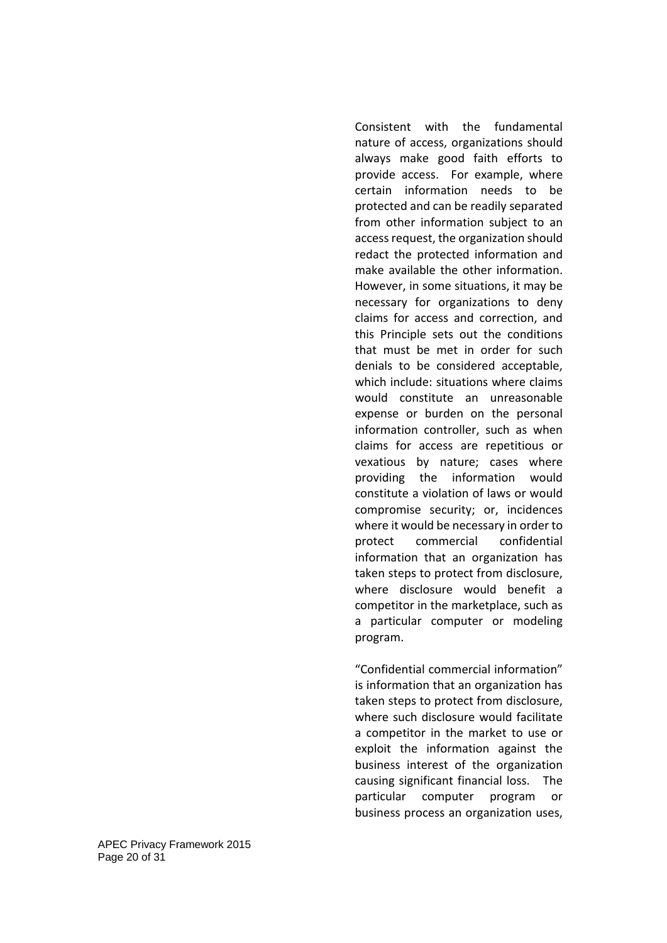Consistent with the fundamental nature of access, organizations should always make good faith efforts to provide access. For example, where certain information needs to be protected and can be readily separated from other information subject to an access request, the organization should redact the protected information and make available the other information. However, in some situations, it may be necessary for organizations to deny claims for access and correction, and this Principle sets out the conditions that must be met in order for such denials to be considered acceptable, which include: situations where claims would constitute an unreasonable expense or burden on the personal information controller, such as when claims for access are repetitious or vexatious by nature; cases where providing the information would constitute a violation of laws or would compromise security; or, incidences where it would be necessary in order to protect commercial confidential information that an organization has taken steps to protect from disclosure, where disclosure would benefit a competitor in the marketplace, such as a particular computer or modeling program.

"Confidential commercial information" is information that an organization has taken steps to protect from disclosure, where such disclosure would facilitate a competitor in the market to use or exploit the information against the business interest of the organization causing significant financial loss. The particular computer program or business process an organization uses,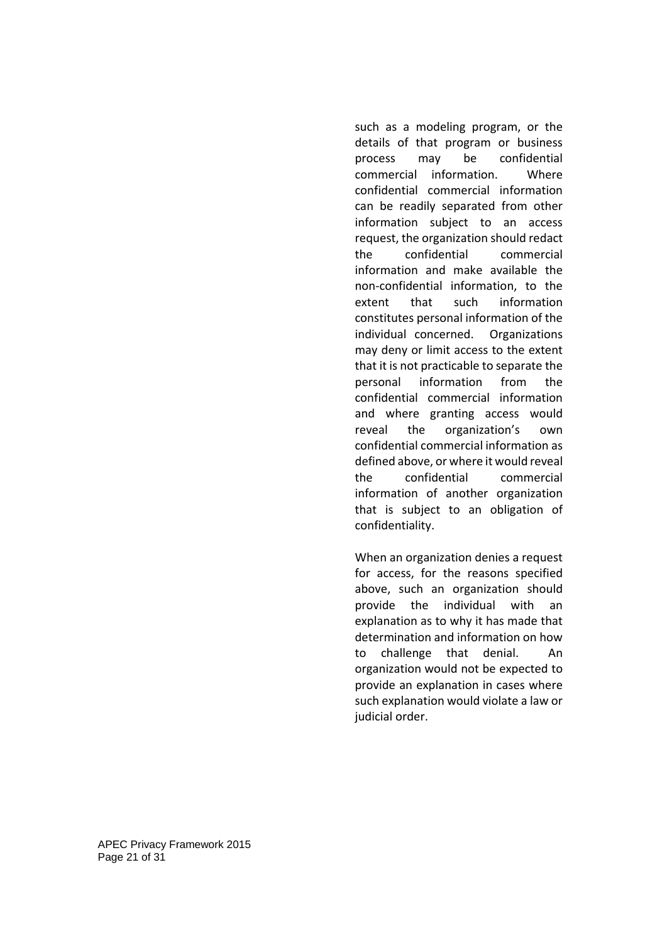such as a modeling program, or the details of that program or business process may be confidential commercial information. Where confidential commercial information can be readily separated from other information subject to an access request, the organization should redact the confidential commercial information and make available the non-confidential information, to the extent that such information constitutes personal information of the individual concerned. Organizations may deny or limit access to the extent that it is not practicable to separate the personal information from the confidential commercial information and where granting access would reveal the organization's own confidential commercial information as defined above, or where it would reveal the confidential commercial information of another organization that is subject to an obligation of confidentiality.

When an organization denies a request for access, for the reasons specified above, such an organization should provide the individual with an explanation as to why it has made that determination and information on how to challenge that denial. An organization would not be expected to provide an explanation in cases where such explanation would violate a law or judicial order.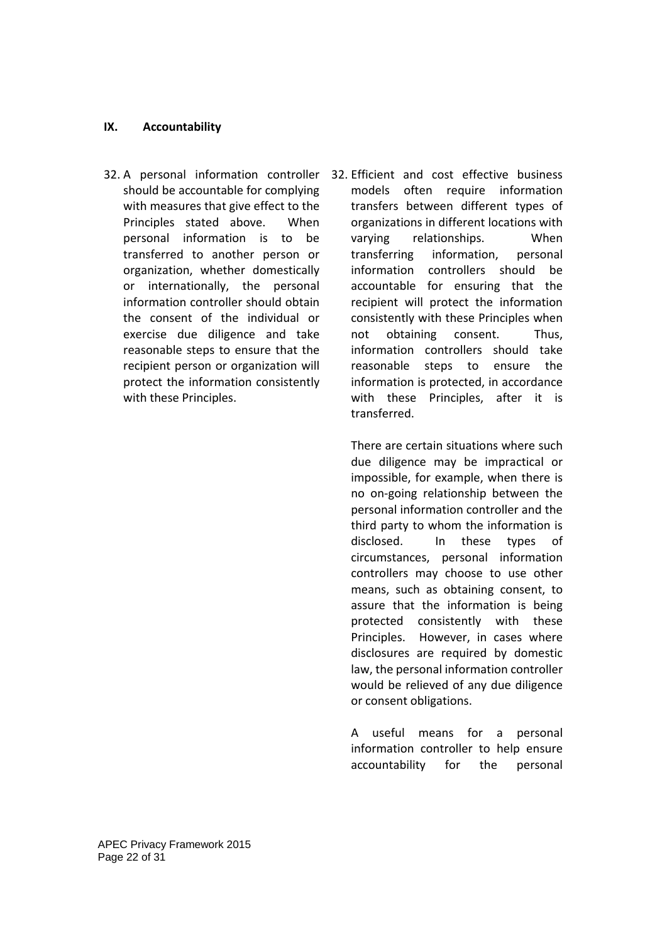## **IX. Accountability**

- should be accountable for complying with measures that give effect to the Principles stated above. When personal information is to be transferred to another person or organization, whether domestically or internationally, the personal information controller should obtain the consent of the individual or exercise due diligence and take reasonable steps to ensure that the recipient person or organization will protect the information consistently with these Principles.
- 32. A personal information controller 32. Efficient and cost effective business models often require information transfers between different types of organizations in different locations with varying relationships. When transferring information, personal information controllers should be accountable for ensuring that the recipient will protect the information consistently with these Principles when not obtaining consent. Thus, information controllers should take reasonable steps to ensure the information is protected, in accordance with these Principles, after it is transferred.

There are certain situations where such due diligence may be impractical or impossible, for example, when there is no on-going relationship between the personal information controller and the third party to whom the information is disclosed. In these types of circumstances, personal information controllers may choose to use other means, such as obtaining consent, to assure that the information is being protected consistently with these Principles. However, in cases where disclosures are required by domestic law, the personal information controller would be relieved of any due diligence or consent obligations.

A useful means for a personal information controller to help ensure accountability for the personal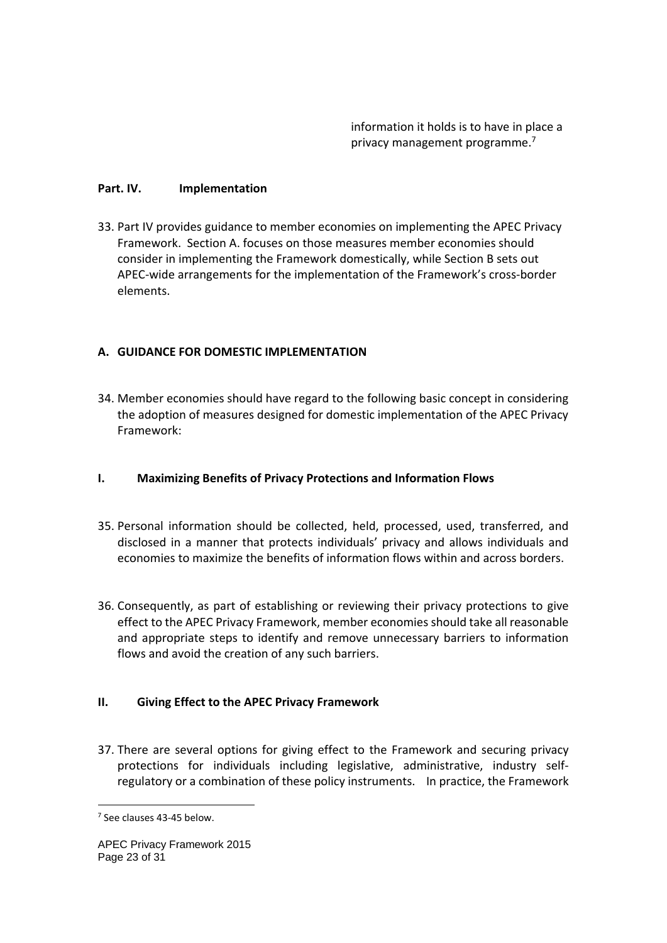information it holds is to have in place a privacy management programme.7

### **Part. IV. Implementation**

33. Part IV provides guidance to member economies on implementing the APEC Privacy Framework. Section A. focuses on those measures member economies should consider in implementing the Framework domestically, while Section B sets out APEC-wide arrangements for the implementation of the Framework's cross-border elements.

## **A. GUIDANCE FOR DOMESTIC IMPLEMENTATION**

34. Member economies should have regard to the following basic concept in considering the adoption of measures designed for domestic implementation of the APEC Privacy Framework:

## **I. Maximizing Benefits of Privacy Protections and Information Flows**

- 35. Personal information should be collected, held, processed, used, transferred, and disclosed in a manner that protects individuals' privacy and allows individuals and economies to maximize the benefits of information flows within and across borders.
- 36. Consequently, as part of establishing or reviewing their privacy protections to give effect to the APEC Privacy Framework, member economies should take all reasonable and appropriate steps to identify and remove unnecessary barriers to information flows and avoid the creation of any such barriers.

## **II. Giving Effect to the APEC Privacy Framework**

37. There are several options for giving effect to the Framework and securing privacy protections for individuals including legislative, administrative, industry selfregulatory or a combination of these policy instruments. In practice, the Framework

-

<sup>7</sup> See clauses 43-45 below.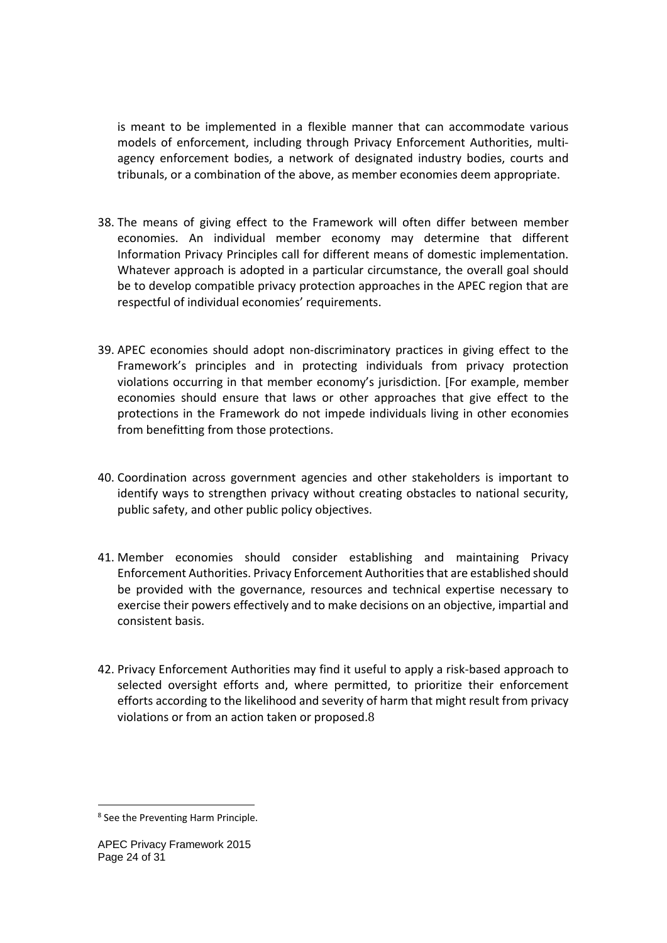is meant to be implemented in a flexible manner that can accommodate various models of enforcement, including through Privacy Enforcement Authorities, multiagency enforcement bodies, a network of designated industry bodies, courts and tribunals, or a combination of the above, as member economies deem appropriate.

- 38. The means of giving effect to the Framework will often differ between member economies. An individual member economy may determine that different Information Privacy Principles call for different means of domestic implementation. Whatever approach is adopted in a particular circumstance, the overall goal should be to develop compatible privacy protection approaches in the APEC region that are respectful of individual economies' requirements.
- 39. APEC economies should adopt non-discriminatory practices in giving effect to the Framework's principles and in protecting individuals from privacy protection violations occurring in that member economy's jurisdiction. [For example, member economies should ensure that laws or other approaches that give effect to the protections in the Framework do not impede individuals living in other economies from benefitting from those protections.
- 40. Coordination across government agencies and other stakeholders is important to identify ways to strengthen privacy without creating obstacles to national security, public safety, and other public policy objectives.
- 41. Member economies should consider establishing and maintaining Privacy Enforcement Authorities. Privacy Enforcement Authorities that are established should be provided with the governance, resources and technical expertise necessary to exercise their powers effectively and to make decisions on an objective, impartial and consistent basis.
- 42. Privacy Enforcement Authorities may find it useful to apply a risk-based approach to selected oversight efforts and, where permitted, to prioritize their enforcement efforts according to the likelihood and severity of harm that might result from privacy violations or from an action taken or proposed.8

-

<sup>8</sup> See the Preventing Harm Principle.

APEC Privacy Framework 2015 Page 24 of 31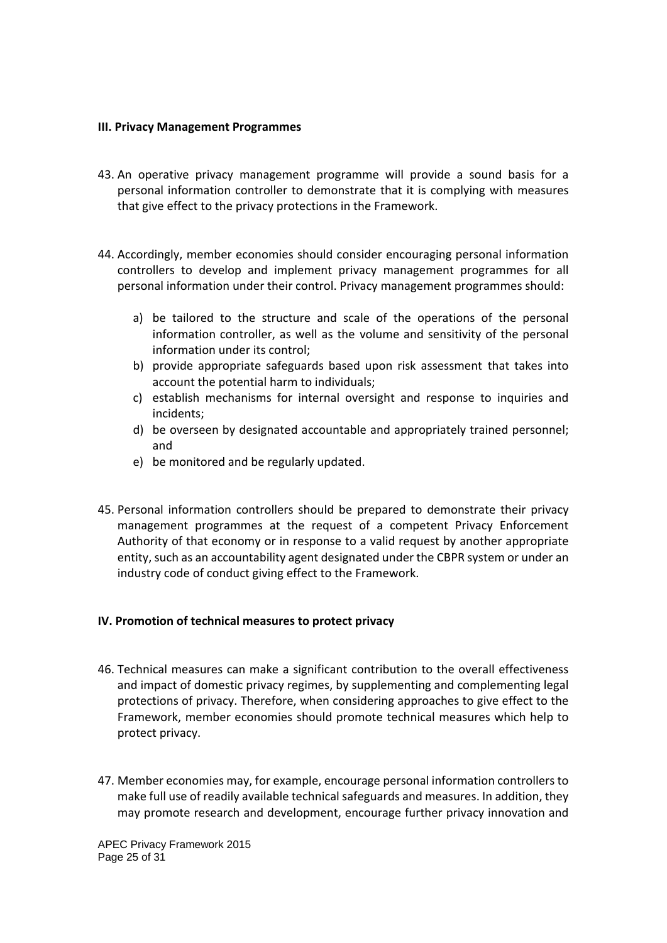#### **III. Privacy Management Programmes**

- 43. An operative privacy management programme will provide a sound basis for a personal information controller to demonstrate that it is complying with measures that give effect to the privacy protections in the Framework.
- 44. Accordingly, member economies should consider encouraging personal information controllers to develop and implement privacy management programmes for all personal information under their control. Privacy management programmes should:
	- a) be tailored to the structure and scale of the operations of the personal information controller, as well as the volume and sensitivity of the personal information under its control;
	- b) provide appropriate safeguards based upon risk assessment that takes into account the potential harm to individuals;
	- c) establish mechanisms for internal oversight and response to inquiries and incidents;
	- d) be overseen by designated accountable and appropriately trained personnel; and
	- e) be monitored and be regularly updated.
- 45. Personal information controllers should be prepared to demonstrate their privacy management programmes at the request of a competent Privacy Enforcement Authority of that economy or in response to a valid request by another appropriate entity, such as an accountability agent designated under the CBPR system or under an industry code of conduct giving effect to the Framework.

#### **IV. Promotion of technical measures to protect privacy**

- 46. Technical measures can make a significant contribution to the overall effectiveness and impact of domestic privacy regimes, by supplementing and complementing legal protections of privacy. Therefore, when considering approaches to give effect to the Framework, member economies should promote technical measures which help to protect privacy.
- 47. Member economies may, for example, encourage personal information controllers to make full use of readily available technical safeguards and measures. In addition, they may promote research and development, encourage further privacy innovation and

APEC Privacy Framework 2015 Page 25 of 31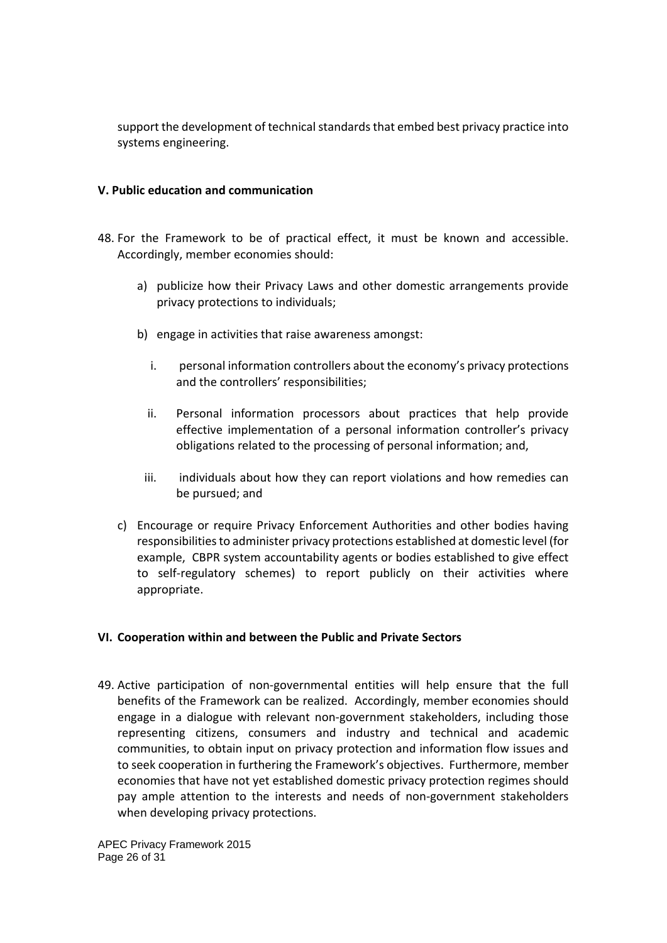support the development of technical standards that embed best privacy practice into systems engineering.

### **V. Public education and communication**

- 48. For the Framework to be of practical effect, it must be known and accessible. Accordingly, member economies should:
	- a) publicize how their Privacy Laws and other domestic arrangements provide privacy protections to individuals;
	- b) engage in activities that raise awareness amongst:
		- i. personal information controllers about the economy's privacy protections and the controllers' responsibilities;
		- ii. Personal information processors about practices that help provide effective implementation of a personal information controller's privacy obligations related to the processing of personal information; and,
		- iii. individuals about how they can report violations and how remedies can be pursued; and
	- c) Encourage or require Privacy Enforcement Authorities and other bodies having responsibilities to administer privacy protections established at domestic level (for example, CBPR system accountability agents or bodies established to give effect to self-regulatory schemes) to report publicly on their activities where appropriate.

### **VI. Cooperation within and between the Public and Private Sectors**

49. Active participation of non-governmental entities will help ensure that the full benefits of the Framework can be realized. Accordingly, member economies should engage in a dialogue with relevant non-government stakeholders, including those representing citizens, consumers and industry and technical and academic communities, to obtain input on privacy protection and information flow issues and to seek cooperation in furthering the Framework's objectives. Furthermore, member economies that have not yet established domestic privacy protection regimes should pay ample attention to the interests and needs of non-government stakeholders when developing privacy protections.

APEC Privacy Framework 2015 Page 26 of 31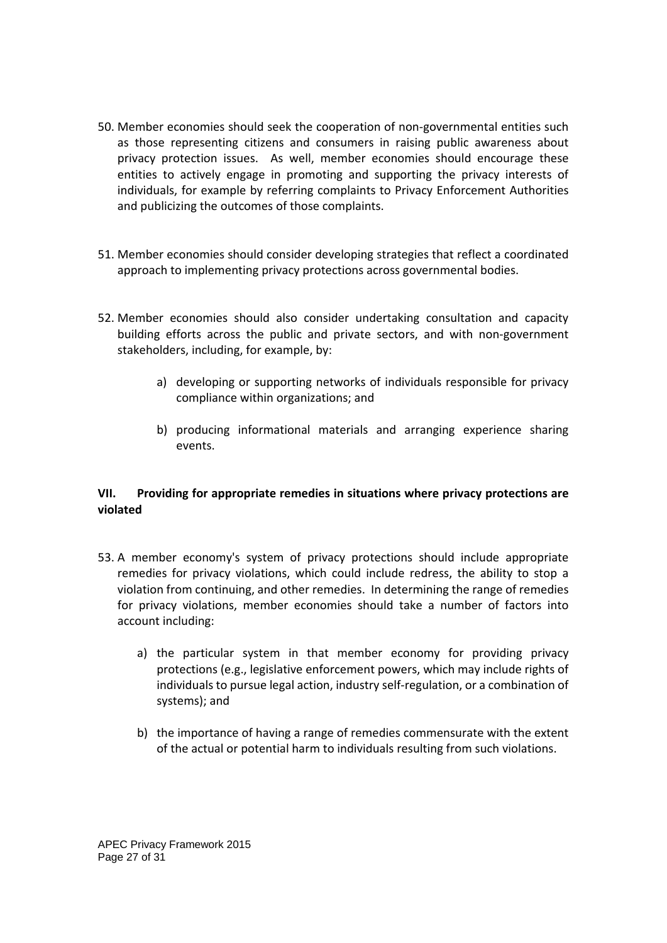- 50. Member economies should seek the cooperation of non-governmental entities such as those representing citizens and consumers in raising public awareness about privacy protection issues. As well, member economies should encourage these entities to actively engage in promoting and supporting the privacy interests of individuals, for example by referring complaints to Privacy Enforcement Authorities and publicizing the outcomes of those complaints.
- 51. Member economies should consider developing strategies that reflect a coordinated approach to implementing privacy protections across governmental bodies.
- 52. Member economies should also consider undertaking consultation and capacity building efforts across the public and private sectors, and with non-government stakeholders, including, for example, by:
	- a) developing or supporting networks of individuals responsible for privacy compliance within organizations; and
	- b) producing informational materials and arranging experience sharing events.

## **VII. Providing for appropriate remedies in situations where privacy protections are violated**

- 53. A member economy's system of privacy protections should include appropriate remedies for privacy violations, which could include redress, the ability to stop a violation from continuing, and other remedies. In determining the range of remedies for privacy violations, member economies should take a number of factors into account including:
	- a) the particular system in that member economy for providing privacy protections (e.g., legislative enforcement powers, which may include rights of individuals to pursue legal action, industry self-regulation, or a combination of systems); and
	- b) the importance of having a range of remedies commensurate with the extent of the actual or potential harm to individuals resulting from such violations.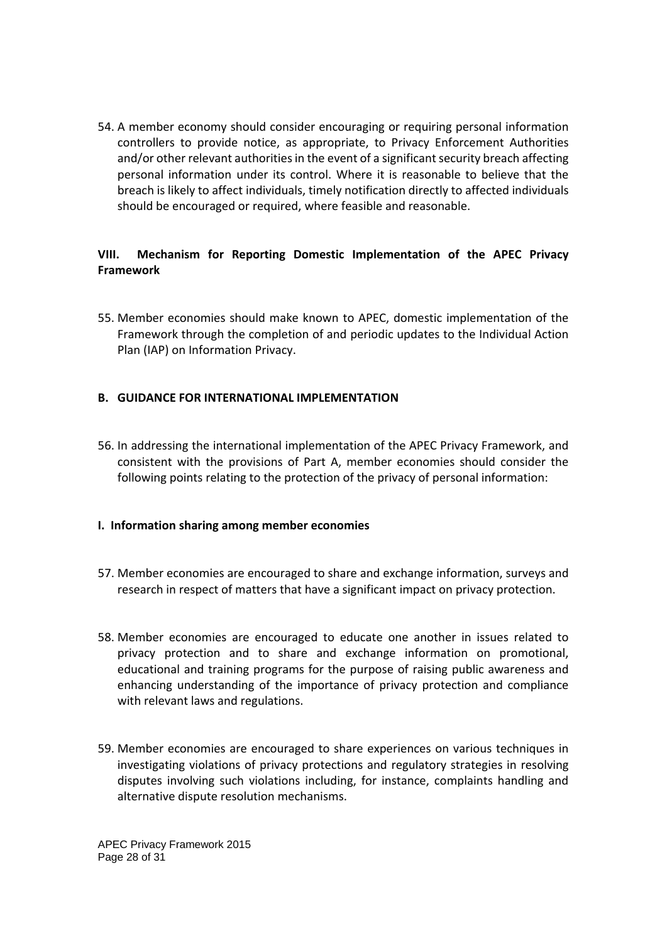54. A member economy should consider encouraging or requiring personal information controllers to provide notice, as appropriate, to Privacy Enforcement Authorities and/or other relevant authorities in the event of a significant security breach affecting personal information under its control. Where it is reasonable to believe that the breach is likely to affect individuals, timely notification directly to affected individuals should be encouraged or required, where feasible and reasonable.

## **VIII. Mechanism for Reporting Domestic Implementation of the APEC Privacy Framework**

55. Member economies should make known to APEC, domestic implementation of the Framework through the completion of and periodic updates to the Individual Action Plan (IAP) on Information Privacy.

## **B. GUIDANCE FOR INTERNATIONAL IMPLEMENTATION**

56. In addressing the international implementation of the APEC Privacy Framework, and consistent with the provisions of Part A, member economies should consider the following points relating to the protection of the privacy of personal information:

### **I. Information sharing among member economies**

- 57. Member economies are encouraged to share and exchange information, surveys and research in respect of matters that have a significant impact on privacy protection.
- 58. Member economies are encouraged to educate one another in issues related to privacy protection and to share and exchange information on promotional, educational and training programs for the purpose of raising public awareness and enhancing understanding of the importance of privacy protection and compliance with relevant laws and regulations.
- 59. Member economies are encouraged to share experiences on various techniques in investigating violations of privacy protections and regulatory strategies in resolving disputes involving such violations including, for instance, complaints handling and alternative dispute resolution mechanisms.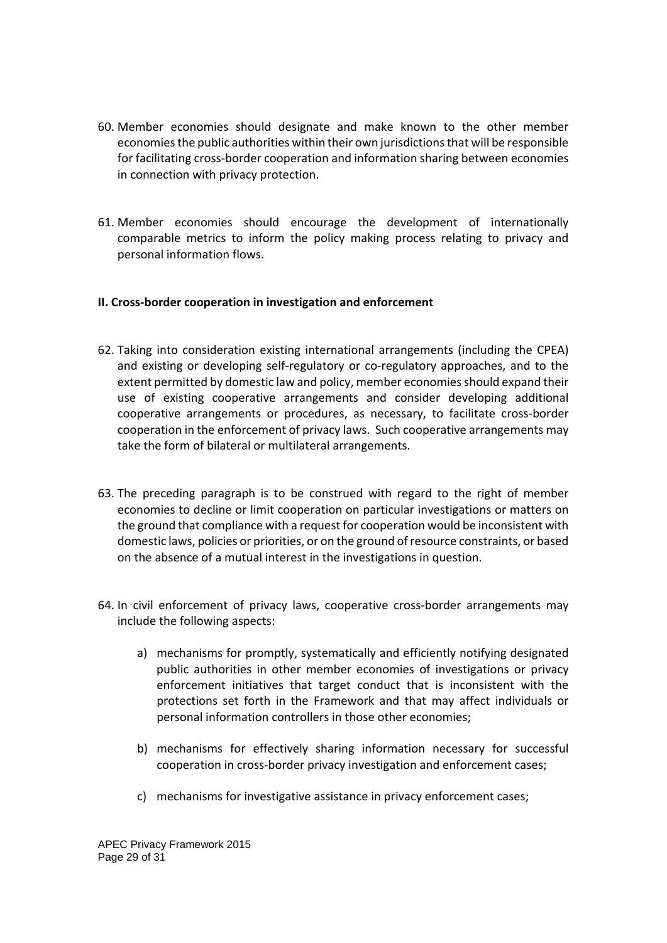- 60. Member economies should designate and make known to the other member economies the public authorities within their own jurisdictions that will be responsible for facilitating cross-border cooperation and information sharing between economies in connection with privacy protection.
- 61. Member economies should encourage the development of internationally comparable metrics to inform the policy making process relating to privacy and personal information flows.

### **II. Cross-border cooperation in investigation and enforcement**

- 62. Taking into consideration existing international arrangements (including the CPEA) and existing or developing self-regulatory or co-regulatory approaches, and to the extent permitted by domestic law and policy, member economies should expand their use of existing cooperative arrangements and consider developing additional cooperative arrangements or procedures, as necessary, to facilitate cross-border cooperation in the enforcement of privacy laws. Such cooperative arrangements may take the form of bilateral or multilateral arrangements.
- 63. The preceding paragraph is to be construed with regard to the right of member economies to decline or limit cooperation on particular investigations or matters on the ground that compliance with a request for cooperation would be inconsistent with domestic laws, policies or priorities, or on the ground of resource constraints, or based on the absence of a mutual interest in the investigations in question.
- 64. In civil enforcement of privacy laws, cooperative cross-border arrangements may include the following aspects:
	- a) mechanisms for promptly, systematically and efficiently notifying designated public authorities in other member economies of investigations or privacy enforcement initiatives that target conduct that is inconsistent with the protections set forth in the Framework and that may affect individuals or personal information controllers in those other economies;
	- b) mechanisms for effectively sharing information necessary for successful cooperation in cross-border privacy investigation and enforcement cases;
	- c) mechanisms for investigative assistance in privacy enforcement cases;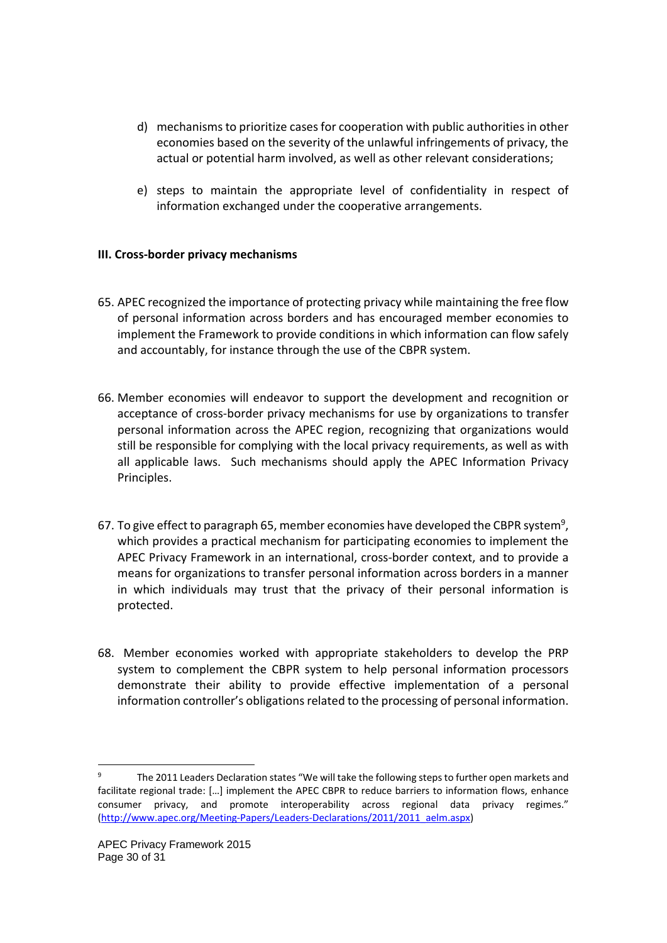- d) mechanisms to prioritize cases for cooperation with public authorities in other economies based on the severity of the unlawful infringements of privacy, the actual or potential harm involved, as well as other relevant considerations;
- e) steps to maintain the appropriate level of confidentiality in respect of information exchanged under the cooperative arrangements.

## **III. Cross-border privacy mechanisms**

- 65. APEC recognized the importance of protecting privacy while maintaining the free flow of personal information across borders and has encouraged member economies to implement the Framework to provide conditions in which information can flow safely and accountably, for instance through the use of the CBPR system.
- 66. Member economies will endeavor to support the development and recognition or acceptance of cross-border privacy mechanisms for use by organizations to transfer personal information across the APEC region, recognizing that organizations would still be responsible for complying with the local privacy requirements, as well as with all applicable laws. Such mechanisms should apply the APEC Information Privacy Principles.
- 67. To give effect to paragraph 65, member economies have developed the CBPR system<sup>9</sup>, which provides a practical mechanism for participating economies to implement the APEC Privacy Framework in an international, cross-border context, and to provide a means for organizations to transfer personal information across borders in a manner in which individuals may trust that the privacy of their personal information is protected.
- 68. Member economies worked with appropriate stakeholders to develop the PRP system to complement the CBPR system to help personal information processors demonstrate their ability to provide effective implementation of a personal information controller's obligations related to the processing of personal information.

The 2011 Leaders Declaration states "We will take the following steps to further open markets and facilitate regional trade: […] implement the APEC CBPR to reduce barriers to information flows, enhance consumer privacy, and promote interoperability across regional data privacy regimes." (http://www.apec.org/Meeting-Papers/Leaders-Declarations/2011/2011\_aelm.aspx)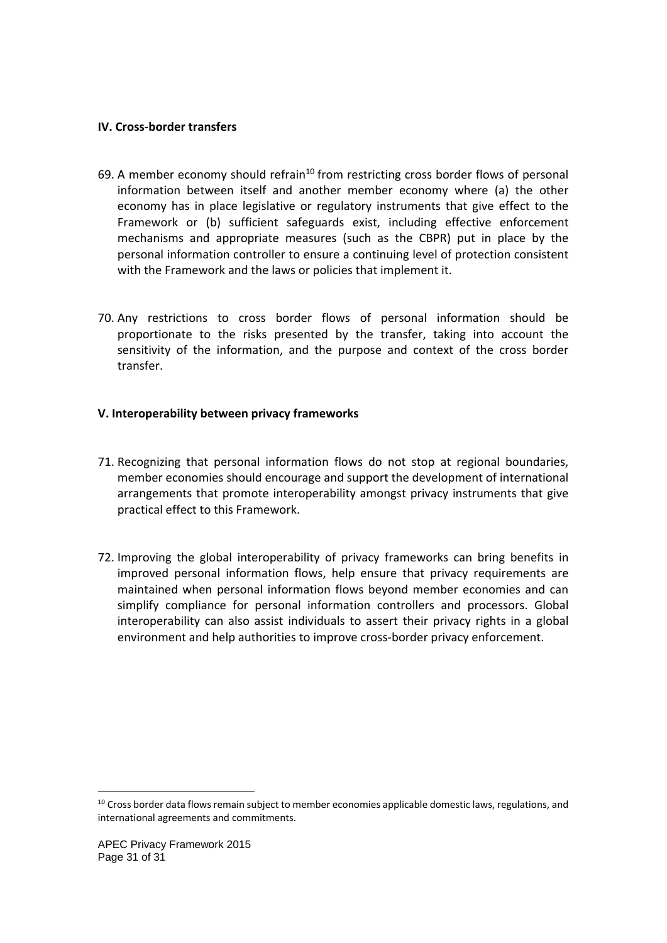### **IV. Cross-border transfers**

- 69. A member economy should refrain<sup>10</sup> from restricting cross border flows of personal information between itself and another member economy where (a) the other economy has in place legislative or regulatory instruments that give effect to the Framework or (b) sufficient safeguards exist, including effective enforcement mechanisms and appropriate measures (such as the CBPR) put in place by the personal information controller to ensure a continuing level of protection consistent with the Framework and the laws or policies that implement it.
- 70. Any restrictions to cross border flows of personal information should be proportionate to the risks presented by the transfer, taking into account the sensitivity of the information, and the purpose and context of the cross border transfer.

## **V. Interoperability between privacy frameworks**

- 71. Recognizing that personal information flows do not stop at regional boundaries, member economies should encourage and support the development of international arrangements that promote interoperability amongst privacy instruments that give practical effect to this Framework.
- 72. Improving the global interoperability of privacy frameworks can bring benefits in improved personal information flows, help ensure that privacy requirements are maintained when personal information flows beyond member economies and can simplify compliance for personal information controllers and processors. Global interoperability can also assist individuals to assert their privacy rights in a global environment and help authorities to improve cross-border privacy enforcement.

<sup>&</sup>lt;sup>10</sup> Cross border data flows remain subject to member economies applicable domestic laws, regulations, and international agreements and commitments.